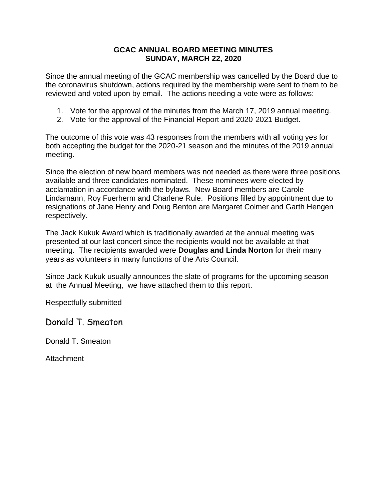## **GCAC ANNUAL BOARD MEETING MINUTES SUNDAY, MARCH 22, 2020**

Since the annual meeting of the GCAC membership was cancelled by the Board due to the coronavirus shutdown, actions required by the membership were sent to them to be reviewed and voted upon by email. The actions needing a vote were as follows:

- 1. Vote for the approval of the minutes from the March 17, 2019 annual meeting.
- 2. Vote for the approval of the Financial Report and 2020-2021 Budget.

The outcome of this vote was 43 responses from the members with all voting yes for both accepting the budget for the 2020-21 season and the minutes of the 2019 annual meeting.

Since the election of new board members was not needed as there were three positions available and three candidates nominated. These nominees were elected by acclamation in accordance with the bylaws. New Board members are Carole Lindamann, Roy Fuerherm and Charlene Rule. Positions filled by appointment due to resignations of Jane Henry and Doug Benton are Margaret Colmer and Garth Hengen respectively.

The Jack Kukuk Award which is traditionally awarded at the annual meeting was presented at our last concert since the recipients would not be available at that meeting. The recipients awarded were **Douglas and Linda Norton** for their many years as volunteers in many functions of the Arts Council.

Since Jack Kukuk usually announces the slate of programs for the upcoming season at the Annual Meeting, we have attached them to this report.

Respectfully submitted

Donald T. Smeaton

Donald T. Smeaton

Attachment